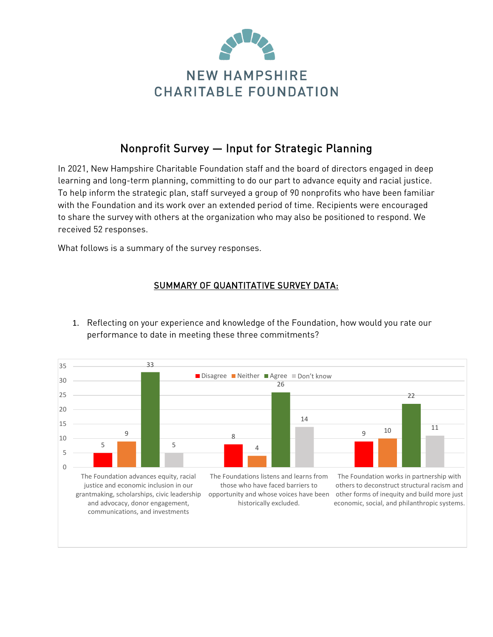

# Nonprofit Survey — Input for Strategic Planning

In 2021, New Hampshire Charitable Foundation staff and the board of directors engaged in deep learning and long-term planning, committing to do our part to advance equity and racial justice. To help inform the strategic plan, staff surveyed a group of 90 nonprofits who have been familiar with the Foundation and its work over an extended period of time. Recipients were encouraged to share the survey with others at the organization who may also be positioned to respond. We received 52 responses.

What follows is a summary of the survey responses.

#### SUMMARY OF QUANTITATIVE SURVEY DATA:

- 5 <u>9 and 20 and 20 and 20 and 20 and 20 and 20 and 20 and 20 and 20 and 20 and 20 and 20 and 20 and 20 and 20 and </u> 4 10 33 26 22 5 14 11  $\Omega$ 5 10 15 20 25 30 35 The Foundation advances equity, racial justice and economic inclusion in our grantmaking, scholarships, civic leadership and advocacy, donor engagement, communications, and investments The Foundations listens and learns from those who have faced barriers to opportunity and whose voices have been other forms of inequity and build more just historically excluded. The Foundation works in partnership with others to deconstruct structural racism and economic, social, and philanthropic systems. Disagree Neither Agree Don't know
- 1. Reflecting on your experience and knowledge of the Foundation, how would you rate our performance to date in meeting these three commitments?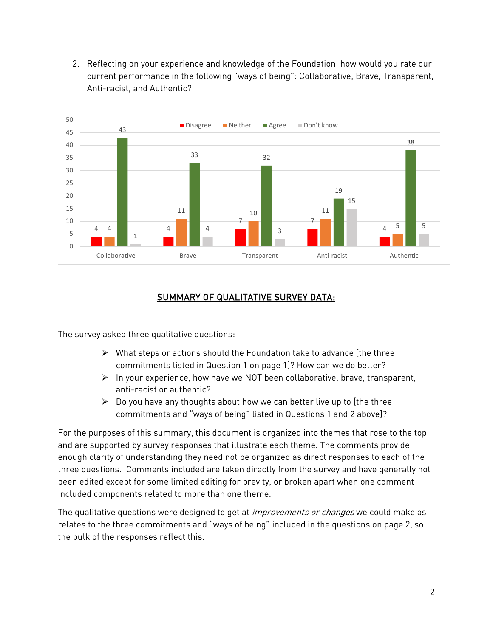2. Reflecting on your experience and knowledge of the Foundation, how would you rate our current performance in the following "ways of being": Collaborative, Brave, Transparent, Anti-racist, and Authentic?



#### SUMMARY OF QUALITATIVE SURVEY DATA:

The survey asked three qualitative questions:

- $\triangleright$  What steps or actions should the Foundation take to advance [the three commitments listed in Question 1 on page 1]? How can we do better?
- $\triangleright$  In your experience, how have we NOT been collaborative, brave, transparent, anti-racist or authentic?
- $\triangleright$  Do you have any thoughts about how we can better live up to [the three commitments and "ways of being" listed in Questions 1 and 2 above]?

For the purposes of this summary, this document is organized into themes that rose to the top and are supported by survey responses that illustrate each theme. The comments provide enough clarity of understanding they need not be organized as direct responses to each of the three questions. Comments included are taken directly from the survey and have generally not been edited except for some limited editing for brevity, or broken apart when one comment included components related to more than one theme.

The qualitative questions were designed to get at *improvements or changes* we could make as relates to the three commitments and "ways of being" included in the questions on page 2, so the bulk of the responses reflect this.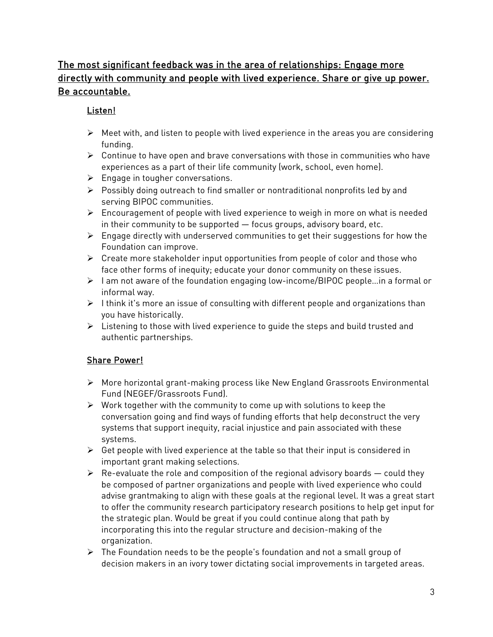# The most significant feedback was in the area of relationships: Engage more directly with community and people with lived experience. Share or give up power. Be accountable.

#### Listen!

- $\triangleright$  Meet with, and listen to people with lived experience in the areas you are considering funding.
- $\triangleright$  Continue to have open and brave conversations with those in communities who have experiences as a part of their life community (work, school, even home).
- $\triangleright$  Engage in tougher conversations.
- Possibly doing outreach to find smaller or nontraditional nonprofits led by and serving BIPOC communities.
- $\triangleright$  Encouragement of people with lived experience to weigh in more on what is needed in their community to be supported — focus groups, advisory board, etc.
- $\triangleright$  Engage directly with underserved communities to get their suggestions for how the Foundation can improve.
- $\triangleright$  Create more stakeholder input opportunities from people of color and those who face other forms of inequity; educate your donor community on these issues.
- $\triangleright$  I am not aware of the foundation engaging low-income/BIPOC people... in a formal or informal way.
- $\triangleright$  I think it's more an issue of consulting with different people and organizations than you have historically.
- $\triangleright$  Listening to those with lived experience to quide the steps and build trusted and authentic partnerships.

### Share Power!

- More horizontal grant-making process like New England Grassroots Environmental Fund (NEGEF/Grassroots Fund).
- $\triangleright$  Work together with the community to come up with solutions to keep the conversation going and find ways of funding efforts that help deconstruct the very systems that support inequity, racial injustice and pain associated with these systems.
- $\triangleright$  Get people with lived experience at the table so that their input is considered in important grant making selections.
- $\triangleright$  Re-evaluate the role and composition of the regional advisory boards  $-$  could they be composed of partner organizations and people with lived experience who could advise grantmaking to align with these goals at the regional level. It was a great start to offer the community research participatory research positions to help get input for the strategic plan. Would be great if you could continue along that path by incorporating this into the regular structure and decision-making of the organization.
- $\triangleright$  The Foundation needs to be the people's foundation and not a small group of decision makers in an ivory tower dictating social improvements in targeted areas.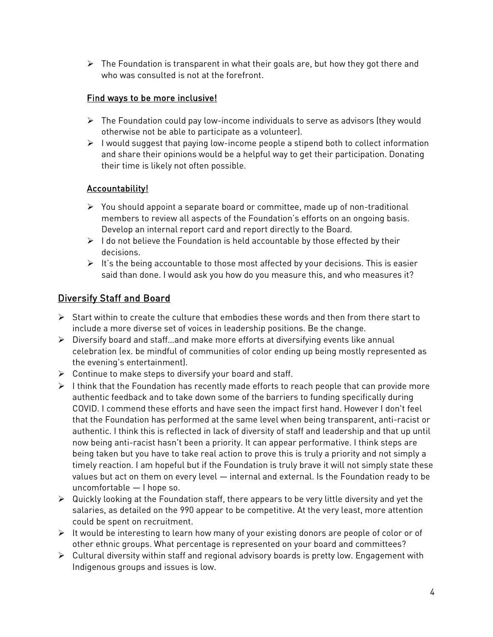$\triangleright$  The Foundation is transparent in what their goals are, but how they got there and who was consulted is not at the forefront.

#### Find ways to be more inclusive!

- $\triangleright$  The Foundation could pay low-income individuals to serve as advisors (they would otherwise not be able to participate as a volunteer).
- $\triangleright$  I would suggest that paying low-income people a stipend both to collect information and share their opinions would be a helpful way to get their participation. Donating their time is likely not often possible.

#### Accountability!

- $\triangleright$  You should appoint a separate board or committee, made up of non-traditional members to review all aspects of the Foundation's efforts on an ongoing basis. Develop an internal report card and report directly to the Board.
- $\triangleright$  I do not believe the Foundation is held accountable by those effected by their decisions.
- $\triangleright$  It's the being accountable to those most affected by your decisions. This is easier said than done. I would ask you how do you measure this, and who measures it?

## Diversify Staff and Board

- $\triangleright$  Start within to create the culture that embodies these words and then from there start to include a more diverse set of voices in leadership positions. Be the change.
- $\triangleright$  Diversify board and staff... and make more efforts at diversifying events like annual celebration (ex. be mindful of communities of color ending up being mostly represented as the evening's entertainment).
- $\triangleright$  Continue to make steps to diversify your board and staff.
- $\triangleright$  I think that the Foundation has recently made efforts to reach people that can provide more authentic feedback and to take down some of the barriers to funding specifically during COVID. I commend these efforts and have seen the impact first hand. However I don't feel that the Foundation has performed at the same level when being transparent, anti-racist or authentic. I think this is reflected in lack of diversity of staff and leadership and that up until now being anti-racist hasn't been a priority. It can appear performative. I think steps are being taken but you have to take real action to prove this is truly a priority and not simply a timely reaction. I am hopeful but if the Foundation is truly brave it will not simply state these values but act on them on every level — internal and external. Is the Foundation ready to be uncomfortable — I hope so.
- $\triangleright$  Quickly looking at the Foundation staff, there appears to be very little diversity and yet the salaries, as detailed on the 990 appear to be competitive. At the very least, more attention could be spent on recruitment.
- $\triangleright$  It would be interesting to learn how many of your existing donors are people of color or of other ethnic groups. What percentage is represented on your board and committees?
- $\triangleright$  Cultural diversity within staff and regional advisory boards is pretty low. Engagement with Indigenous groups and issues is low.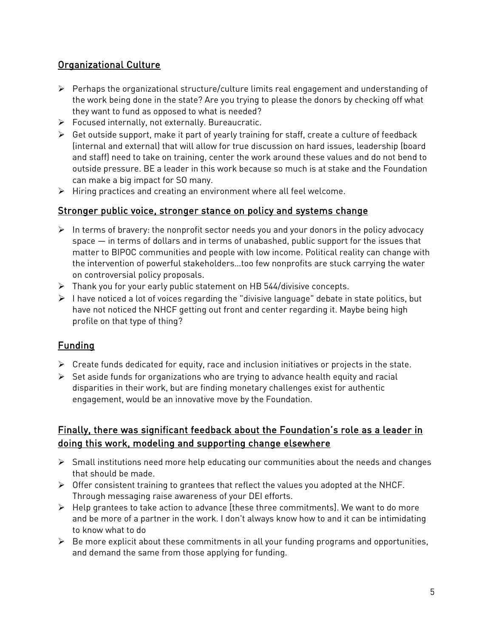## Organizational Culture

- Perhaps the organizational structure/culture limits real engagement and understanding of the work being done in the state? Are you trying to please the donors by checking off what they want to fund as opposed to what is needed?
- $\triangleright$  Focused internally, not externally. Bureaucratic.
- $\triangleright$  Get outside support, make it part of yearly training for staff, create a culture of feedback (internal and external) that will allow for true discussion on hard issues, leadership (board and staff) need to take on training, center the work around these values and do not bend to outside pressure. BE a leader in this work because so much is at stake and the Foundation can make a big impact for SO many.
- > Hiring practices and creating an environment where all feel welcome.

#### Stronger public voice, stronger stance on policy and systems change

- $\triangleright$  In terms of bravery: the nonprofit sector needs you and your donors in the policy advocacy space — in terms of dollars and in terms of unabashed, public support for the issues that matter to BIPOC communities and people with low income. Political reality can change with the intervention of powerful stakeholders…too few nonprofits are stuck carrying the water on controversial policy proposals.
- $\triangleright$  Thank you for your early public statement on HB 544/divisive concepts.
- $\triangleright$  I have noticed a lot of voices regarding the "divisive language" debate in state politics, but have not noticed the NHCF getting out front and center regarding it. Maybe being high profile on that type of thing?

### Funding

- $\triangleright$  Create funds dedicated for equity, race and inclusion initiatives or projects in the state.
- $\triangleright$  Set aside funds for organizations who are trying to advance health equity and racial disparities in their work, but are finding monetary challenges exist for authentic engagement, would be an innovative move by the Foundation.

### Finally, there was significant feedback about the Foundation's role as a leader in doing this work, modeling and supporting change elsewhere

- $\triangleright$  Small institutions need more help educating our communities about the needs and changes that should be made.
- Offer consistent training to grantees that reflect the values you adopted at the NHCF. Through messaging raise awareness of your DEI efforts.
- $\triangleright$  Help grantees to take action to advance [these three commitments]. We want to do more and be more of a partner in the work. I don't always know how to and it can be intimidating to know what to do
- $\triangleright$  Be more explicit about these commitments in all your funding programs and opportunities, and demand the same from those applying for funding.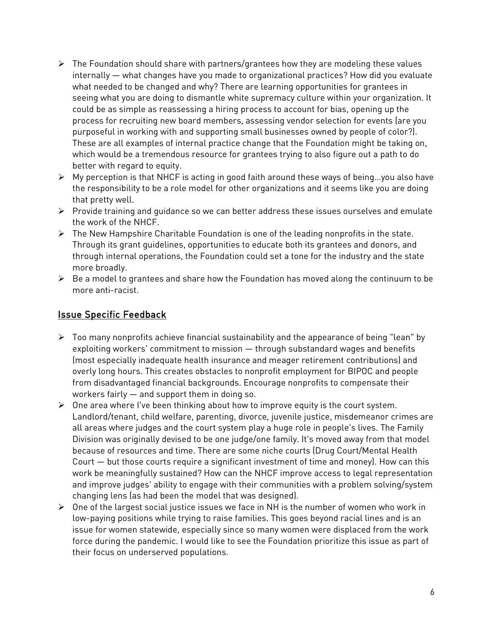- $\triangleright$  The Foundation should share with partners/grantees how they are modeling these values internally — what changes have you made to organizational practices? How did you evaluate what needed to be changed and why? There are learning opportunities for grantees in seeing what you are doing to dismantle white supremacy culture within your organization. It could be as simple as reassessing a hiring process to account for bias, opening up the process for recruiting new board members, assessing vendor selection for events (are you purposeful in working with and supporting small businesses owned by people of color?). These are all examples of internal practice change that the Foundation might be taking on, which would be a tremendous resource for grantees trying to also figure out a path to do better with regard to equity.
- My perception is that NHCF is acting in good faith around these ways of being…you also have the responsibility to be a role model for other organizations and it seems like you are doing that pretty well.
- $\triangleright$  Provide training and guidance so we can better address these issues ourselves and emulate the work of the NHCF.
- $\triangleright$  The New Hampshire Charitable Foundation is one of the leading nonprofits in the state. Through its grant guidelines, opportunities to educate both its grantees and donors, and through internal operations, the Foundation could set a tone for the industry and the state more broadly.
- $\triangleright$  Be a model to grantees and share how the Foundation has moved along the continuum to be more anti-racist.

#### Issue Specific Feedback

- $\triangleright$  Too many nonprofits achieve financial sustainability and the appearance of being "lean" by exploiting workers' commitment to mission — through substandard wages and benefits (most especially inadequate health insurance and meager retirement contributions) and overly long hours. This creates obstacles to nonprofit employment for BIPOC and people from disadvantaged financial backgrounds. Encourage nonprofits to compensate their workers fairly — and support them in doing so.
- $\triangleright$  One area where I've been thinking about how to improve equity is the court system. Landlord/tenant, child welfare, parenting, divorce, juvenile justice, misdemeanor crimes are all areas where judges and the court system play a huge role in people's lives. The Family Division was originally devised to be one judge/one family. It's moved away from that model because of resources and time. There are some niche courts (Drug Court/Mental Health Court — but those courts require a significant investment of time and money). How can this work be meaningfully sustained? How can the NHCF improve access to legal representation and improve judges' ability to engage with their communities with a problem solving/system changing lens (as had been the model that was designed).
- $\triangleright$  One of the largest social justice issues we face in NH is the number of women who work in low-paying positions while trying to raise families. This goes beyond racial lines and is an issue for women statewide, especially since so many women were displaced from the work force during the pandemic. I would like to see the Foundation prioritize this issue as part of their focus on underserved populations.